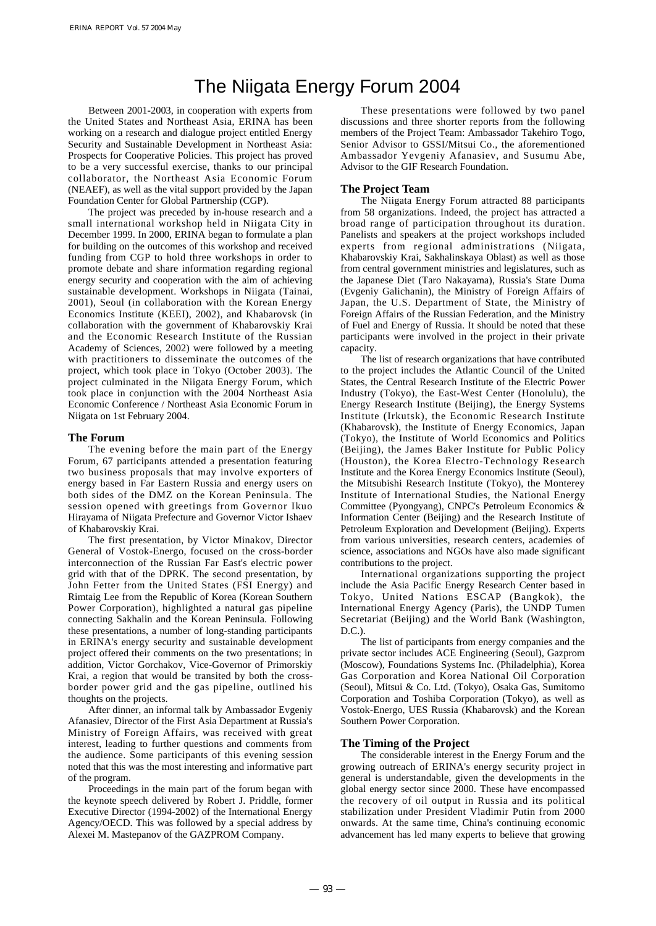# The Niigata Energy Forum 2004

Between 2001-2003, in cooperation with experts from the United States and Northeast Asia, ERINA has been working on a research and dialogue project entitled Energy Security and Sustainable Development in Northeast Asia: Prospects for Cooperative Policies. This project has proved to be a very successful exercise, thanks to our principal collaborator, the Northeast Asia Economic Forum (NEAEF), as well as the vital support provided by the Japan Foundation Center for Global Partnership (CGP).

The project was preceded by in-house research and a small international workshop held in Niigata City in December 1999. In 2000, ERINA began to formulate a plan for building on the outcomes of this workshop and received funding from CGP to hold three workshops in order to promote debate and share information regarding regional energy security and cooperation with the aim of achieving sustainable development. Workshops in Niigata (Tainai, 2001), Seoul (in collaboration with the Korean Energy Economics Institute (KEEI), 2002), and Khabarovsk (in collaboration with the government of Khabarovskiy Krai and the Economic Research Institute of the Russian Academy of Sciences, 2002) were followed by a meeting with practitioners to disseminate the outcomes of the project, which took place in Tokyo (October 2003). The project culminated in the Niigata Energy Forum, which took place in conjunction with the 2004 Northeast Asia Economic Conference / Northeast Asia Economic Forum in Niigata on 1st February 2004.

#### **The Forum**

The evening before the main part of the Energy Forum, 67 participants attended a presentation featuring two business proposals that may involve exporters of energy based in Far Eastern Russia and energy users on both sides of the DMZ on the Korean Peninsula. The session opened with greetings from Governor Ikuo Hirayama of Niigata Prefecture and Governor Victor Ishaev of Khabarovskiy Krai.

The first presentation, by Victor Minakov, Director General of Vostok-Energo, focused on the cross-border interconnection of the Russian Far East's electric power grid with that of the DPRK. The second presentation, by John Fetter from the United States (FSI Energy) and Rimtaig Lee from the Republic of Korea (Korean Southern Power Corporation), highlighted a natural gas pipeline connecting Sakhalin and the Korean Peninsula. Following these presentations, a number of long-standing participants in ERINA's energy security and sustainable development project offered their comments on the two presentations; in addition, Victor Gorchakov, Vice-Governor of Primorskiy Krai, a region that would be transited by both the crossborder power grid and the gas pipeline, outlined his thoughts on the projects.

After dinner, an informal talk by Ambassador Evgeniy Afanasiev, Director of the First Asia Department at Russia's Ministry of Foreign Affairs, was received with great interest, leading to further questions and comments from the audience. Some participants of this evening session noted that this was the most interesting and informative part of the program.

Proceedings in the main part of the forum began with the keynote speech delivered by Robert J. Priddle, former Executive Director (1994-2002) of the International Energy Agency/OECD. This was followed by a special address by Alexei M. Mastepanov of the GAZPROM Company.

These presentations were followed by two panel discussions and three shorter reports from the following members of the Project Team: Ambassador Takehiro Togo, Senior Advisor to GSSI/Mitsui Co., the aforementioned Ambassador Yevgeniy Afanasiev, and Susumu Abe, Advisor to the GIF Research Foundation.

## **The Project Team**

The Niigata Energy Forum attracted 88 participants from 58 organizations. Indeed, the project has attracted a broad range of participation throughout its duration. Panelists and speakers at the project workshops included experts from regional administrations (Niigata, Khabarovskiy Krai, Sakhalinskaya Oblast) as well as those from central government ministries and legislatures, such as the Japanese Diet (Taro Nakayama), Russia's State Duma (Evgeniy Galichanin), the Ministry of Foreign Affairs of Japan, the U.S. Department of State, the Ministry of Foreign Affairs of the Russian Federation, and the Ministry of Fuel and Energy of Russia. It should be noted that these participants were involved in the project in their private capacity.

The list of research organizations that have contributed to the project includes the Atlantic Council of the United States, the Central Research Institute of the Electric Power Industry (Tokyo), the East-West Center (Honolulu), the Energy Research Institute (Beijing), the Energy Systems Institute (Irkutsk), the Economic Research Institute (Khabarovsk), the Institute of Energy Economics, Japan (Tokyo), the Institute of World Economics and Politics (Beijing), the James Baker Institute for Public Policy (Houston), the Korea Electro-Technology Research Institute and the Korea Energy Economics Institute (Seoul), the Mitsubishi Research Institute (Tokyo), the Monterey Institute of International Studies, the National Energy Committee (Pyongyang), CNPC's Petroleum Economics & Information Center (Beijing) and the Research Institute of Petroleum Exploration and Development (Beijing). Experts from various universities, research centers, academies of science, associations and NGOs have also made significant contributions to the project.

International organizations supporting the project include the Asia Pacific Energy Research Center based in Tokyo, United Nations ESCAP (Bangkok), the International Energy Agency (Paris), the UNDP Tumen Secretariat (Beijing) and the World Bank (Washington,  $D C$ ).

The list of participants from energy companies and the private sector includes ACE Engineering (Seoul), Gazprom (Moscow), Foundations Systems Inc. (Philadelphia), Korea Gas Corporation and Korea National Oil Corporation (Seoul), Mitsui & Co. Ltd. (Tokyo), Osaka Gas, Sumitomo Corporation and Toshiba Corporation (Tokyo), as well as Vostok-Energo, UES Russia (Khabarovsk) and the Korean Southern Power Corporation.

#### **The Timing of the Project**

The considerable interest in the Energy Forum and the growing outreach of ERINA's energy security project in general is understandable, given the developments in the global energy sector since 2000. These have encompassed the recovery of oil output in Russia and its political stabilization under President Vladimir Putin from 2000 onwards. At the same time, China's continuing economic advancement has led many experts to believe that growing